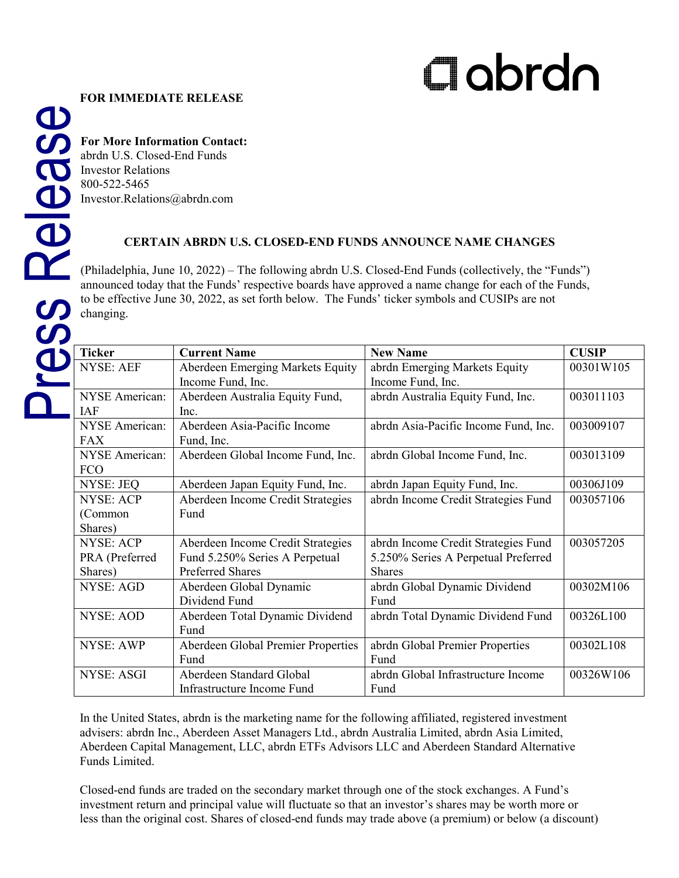## Clobrdn

## **FOR IMMEDIATE RELEASE**

**For More Information Contact:**

abrdn U.S. Closed-End Funds Investor Relations 800-522-5465 Investor.Relations@abrdn.com

## **CERTAIN ABRDN U.S. CLOSED-END FUNDS ANNOUNCE NAME CHANGES**

(Philadelphia, June 10, 2022) – The following abrdn U.S. [Closed-End Funds](https://www.aberdeenstandard.com/en-us/cefinvestorcenter/fund-centre/closed-end-funds) (collectively, the "Funds") announced today that the Funds' respective boards have approved a name change for each of the Funds, to be effective June 30, 2022, as set forth below. The Funds' ticker symbols and CUSIPs are not changing.

| <b>Ticker</b>         | <b>Current Name</b>                | <b>New Name</b>                      | <b>CUSIP</b> |
|-----------------------|------------------------------------|--------------------------------------|--------------|
| <b>NYSE: AEF</b>      | Aberdeen Emerging Markets Equity   | abrdn Emerging Markets Equity        | 00301W105    |
|                       | Income Fund, Inc.                  | Income Fund, Inc.                    |              |
| <b>NYSE</b> American: | Aberdeen Australia Equity Fund,    | abrdn Australia Equity Fund, Inc.    | 003011103    |
| <b>IAF</b>            | Inc.                               |                                      |              |
| <b>NYSE</b> American: | Aberdeen Asia-Pacific Income       | abrdn Asia-Pacific Income Fund, Inc. | 003009107    |
| <b>FAX</b>            | Fund, Inc.                         |                                      |              |
| <b>NYSE</b> American: | Aberdeen Global Income Fund, Inc.  | abrdn Global Income Fund, Inc.       | 003013109    |
| <b>FCO</b>            |                                    |                                      |              |
| <b>NYSE: JEQ</b>      | Aberdeen Japan Equity Fund, Inc.   | abrdn Japan Equity Fund, Inc.        | 00306J109    |
| <b>NYSE: ACP</b>      | Aberdeen Income Credit Strategies  | abrdn Income Credit Strategies Fund  | 003057106    |
| (Common               | Fund                               |                                      |              |
| Shares)               |                                    |                                      |              |
| <b>NYSE: ACP</b>      | Aberdeen Income Credit Strategies  | abrdn Income Credit Strategies Fund  | 003057205    |
| PRA (Preferred        | Fund 5.250% Series A Perpetual     | 5.250% Series A Perpetual Preferred  |              |
| Shares)               | <b>Preferred Shares</b>            | <b>Shares</b>                        |              |
| <b>NYSE: AGD</b>      | Aberdeen Global Dynamic            | abrdn Global Dynamic Dividend        | 00302M106    |
|                       | Dividend Fund                      | Fund                                 |              |
| <b>NYSE: AOD</b>      | Aberdeen Total Dynamic Dividend    | abrdn Total Dynamic Dividend Fund    | 00326L100    |
|                       | Fund                               |                                      |              |
| <b>NYSE: AWP</b>      | Aberdeen Global Premier Properties | abrdn Global Premier Properties      | 00302L108    |
|                       | Fund                               | Fund                                 |              |
| <b>NYSE: ASGI</b>     | Aberdeen Standard Global           | abrdn Global Infrastructure Income   | 00326W106    |
|                       | Infrastructure Income Fund         | Fund                                 |              |

In the United States, abrdn is the marketing name for the following affiliated, registered investment advisers: abrdn Inc., Aberdeen Asset Managers Ltd., abrdn Australia Limited, abrdn Asia Limited, Aberdeen Capital Management, LLC, abrdn ETFs Advisors LLC and Aberdeen Standard Alternative Funds Limited.

Closed-end funds are traded on the secondary market through one of the stock exchanges. A Fund's investment return and principal value will fluctuate so that an investor's shares may be worth more or less than the original cost. Shares of closed-end funds may trade above (a premium) or below (a discount)